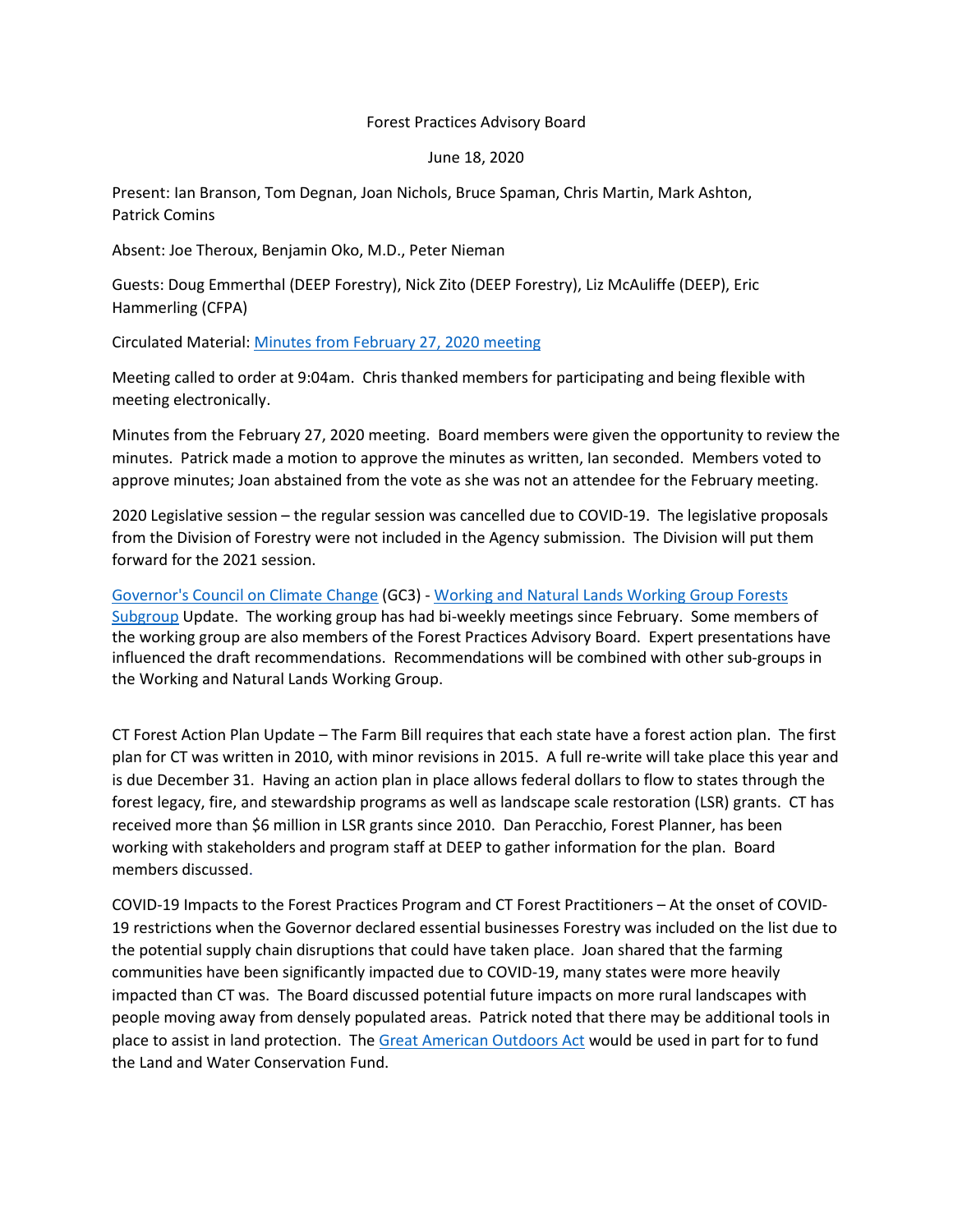## Forest Practices Advisory Board

June 18, 2020

Present: Ian Branson, Tom Degnan, Joan Nichols, Bruce Spaman, Chris Martin, Mark Ashton, Patrick Comins

Absent: Joe Theroux, Benjamin Oko, M.D., Peter Nieman

Guests: Doug Emmerthal (DEEP Forestry), Nick Zito (DEEP Forestry), Liz McAuliffe (DEEP), Eric Hammerling (CFPA)

Circulated Material: [Minutes from February 27, 2020 meeting](https://portal.ct.gov/-/media/DEEP/forestry/forestpracticesboard/FPAB-2-27-2020.pdf)

Meeting called to order at 9:04am. Chris thanked members for participating and being flexible with meeting electronically.

Minutes from the February 27, 2020 meeting. Board members were given the opportunity to review the minutes. Patrick made a motion to approve the minutes as written, Ian seconded. Members voted to approve minutes; Joan abstained from the vote as she was not an attendee for the February meeting.

2020 Legislative session – the regular session was cancelled due to COVID-19. The legislative proposals from the Division of Forestry were not included in the Agency submission. The Division will put them forward for the 2021 session.

Governor's [Council on Climate Change](https://www.ct.gov/deep/cwp/view.asp?a=4423&Q=568878&deepNav_GID=2121) (GC3) - [Working and Natural Lands Working Group Forests](https://portal.ct.gov/DEEP/Climate-Change/GC3/Subcommittee-and--working-groups)  [Subgroup](https://portal.ct.gov/DEEP/Climate-Change/GC3/Subcommittee-and--working-groups) Update. The working group has had bi-weekly meetings since February. Some members of the working group are also members of the Forest Practices Advisory Board. Expert presentations have influenced the draft recommendations. Recommendations will be combined with other sub-groups in the Working and Natural Lands Working Group.

CT Forest Action Plan Update – The Farm Bill requires that each state have a forest action plan. The first plan for CT was written in 2010, with minor revisions in 2015. A full re-write will take place this year and is due December 31. Having an action plan in place allows federal dollars to flow to states through the forest legacy, fire, and stewardship programs as well as landscape scale restoration (LSR) grants. CT has received more than \$6 million in LSR grants since 2010. Dan Peracchio, Forest Planner, has been working with stakeholders and program staff at DEEP to gather information for the plan. Board members discussed.

COVID-19 Impacts to the Forest Practices Program and CT Forest Practitioners – At the onset of COVID-19 restrictions when the Governor declared essential businesses Forestry was included on the list due to the potential supply chain disruptions that could have taken place. Joan shared that the farming communities have been significantly impacted due to COVID-19, many states were more heavily impacted than CT was. The Board discussed potential future impacts on more rural landscapes with people moving away from densely populated areas. Patrick noted that there may be additional tools in place to assist in land protection. Th[e Great American Outdoors Act](https://www.congress.gov/bill/116th-congress/senate-bill/3422?q=%7B%22search%22%3A%5B%22s.+3422%22%5D%7D&s=1&r=1) would be used in part for to fund the Land and Water Conservation Fund.